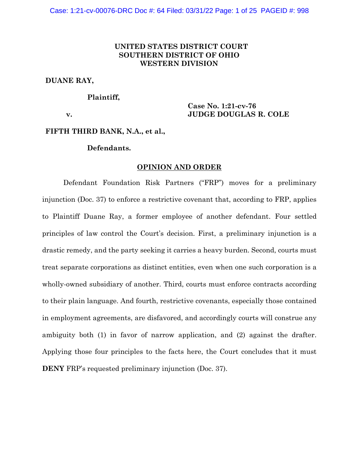# **UNITED STATES DISTRICT COURT SOUTHERN DISTRICT OF OHIO WESTERN DIVISION**

# **DUANE RAY,**

## **Plaintiff,**

**v.**

**Case No. 1:21-cv-76 JUDGE DOUGLAS R. COLE**

# **FIFTH THIRD BANK, N.A., et al.,**

# **Defendants.**

### **OPINION AND ORDER**

Defendant Foundation Risk Partners ("FRP") moves for a preliminary injunction (Doc. 37) to enforce a restrictive covenant that, according to FRP, applies to Plaintiff Duane Ray, a former employee of another defendant. Four settled principles of law control the Court's decision. First, a preliminary injunction is a drastic remedy, and the party seeking it carries a heavy burden. Second, courts must treat separate corporations as distinct entities, even when one such corporation is a wholly-owned subsidiary of another. Third, courts must enforce contracts according to their plain language. And fourth, restrictive covenants, especially those contained in employment agreements, are disfavored, and accordingly courts will construe any ambiguity both (1) in favor of narrow application, and (2) against the drafter. Applying those four principles to the facts here, the Court concludes that it must **DENY** FRP's requested preliminary injunction (Doc. 37).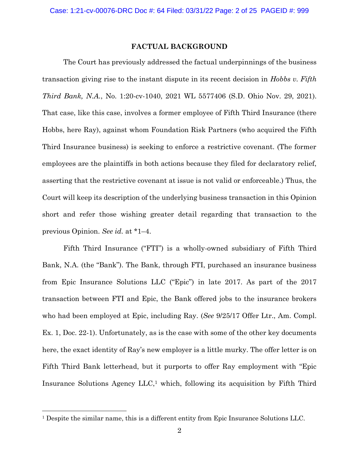# **FACTUAL BACKGROUND**

The Court has previously addressed the factual underpinnings of the business transaction giving rise to the instant dispute in its recent decision in *Hobbs v. Fifth Third Bank, N.A.*, No. 1:20-cv-1040, 2021 WL 5577406 (S.D. Ohio Nov. 29, 2021). That case, like this case, involves a former employee of Fifth Third Insurance (there Hobbs, here Ray), against whom Foundation Risk Partners (who acquired the Fifth Third Insurance business) is seeking to enforce a restrictive covenant. (The former employees are the plaintiffs in both actions because they filed for declaratory relief, asserting that the restrictive covenant at issue is not valid or enforceable.) Thus, the Court will keep its description of the underlying business transaction in this Opinion short and refer those wishing greater detail regarding that transaction to the previous Opinion. *See id.* at \*1–4.

Fifth Third Insurance ("FTI") is a wholly-owned subsidiary of Fifth Third Bank, N.A. (the "Bank"). The Bank, through FTI, purchased an insurance business from Epic Insurance Solutions LLC ("Epic") in late 2017. As part of the 2017 transaction between FTI and Epic, the Bank offered jobs to the insurance brokers who had been employed at Epic, including Ray. (*See* 9/25/17 Offer Ltr., Am. Compl. Ex. 1, Doc. 22-1). Unfortunately, as is the case with some of the other key documents here, the exact identity of Ray's new employer is a little murky. The offer letter is on Fifth Third Bank letterhead, but it purports to offer Ray employment with "Epic Insurance Solutions Agency  $LLC<sub>i</sub>$  which, following its acquisition by Fifth Third

<sup>&</sup>lt;sup>1</sup> Despite the similar name, this is a different entity from Epic Insurance Solutions LLC.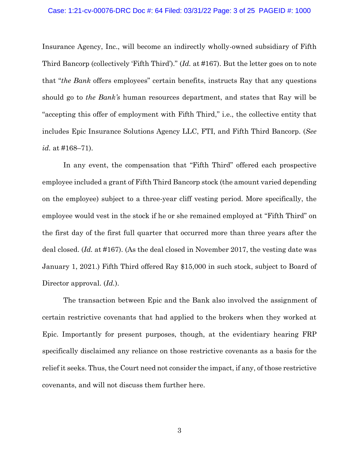### Case: 1:21-cv-00076-DRC Doc #: 64 Filed: 03/31/22 Page: 3 of 25 PAGEID #: 1000

Insurance Agency, Inc., will become an indirectly wholly-owned subsidiary of Fifth Third Bancorp (collectively 'Fifth Third')." (*Id.* at #167). But the letter goes on to note that "*the Bank* offers employees" certain benefits, instructs Ray that any questions should go to *the Bank's* human resources department, and states that Ray will be "accepting this offer of employment with Fifth Third," i.e., the collective entity that includes Epic Insurance Solutions Agency LLC, FTI, and Fifth Third Bancorp. (*See id.* at #168–71).

In any event, the compensation that "Fifth Third" offered each prospective employee included a grant of Fifth Third Bancorp stock (the amount varied depending on the employee) subject to a three-year cliff vesting period. More specifically, the employee would vest in the stock if he or she remained employed at "Fifth Third" on the first day of the first full quarter that occurred more than three years after the deal closed. (*Id.* at #167). (As the deal closed in November 2017, the vesting date was January 1, 2021.) Fifth Third offered Ray \$15,000 in such stock, subject to Board of Director approval. (*Id.*).

The transaction between Epic and the Bank also involved the assignment of certain restrictive covenants that had applied to the brokers when they worked at Epic. Importantly for present purposes, though, at the evidentiary hearing FRP specifically disclaimed any reliance on those restrictive covenants as a basis for the relief it seeks. Thus, the Court need not consider the impact, if any, of those restrictive covenants, and will not discuss them further here.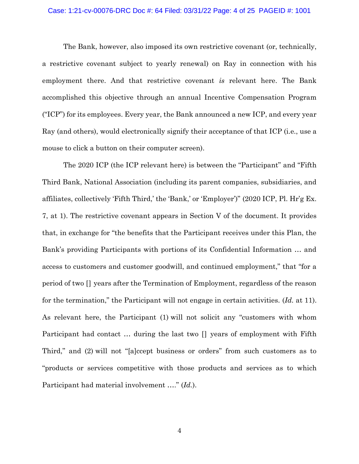#### Case: 1:21-cv-00076-DRC Doc #: 64 Filed: 03/31/22 Page: 4 of 25 PAGEID #: 1001

The Bank, however, also imposed its own restrictive covenant (or, technically, a restrictive covenant subject to yearly renewal) on Ray in connection with his employment there. And that restrictive covenant *is* relevant here. The Bank accomplished this objective through an annual Incentive Compensation Program ("ICP") for its employees. Every year, the Bank announced a new ICP, and every year Ray (and others), would electronically signify their acceptance of that ICP (i.e., use a mouse to click a button on their computer screen).

The 2020 ICP (the ICP relevant here) is between the "Participant" and "Fifth Third Bank, National Association (including its parent companies, subsidiaries, and affiliates, collectively 'Fifth Third,' the 'Bank,' or 'Employer')" (2020 ICP, Pl. Hr'g Ex. 7, at 1). The restrictive covenant appears in Section V of the document. It provides that, in exchange for "the benefits that the Participant receives under this Plan, the Bank's providing Participants with portions of its Confidential Information … and access to customers and customer goodwill, and continued employment," that "for a period of two [] years after the Termination of Employment, regardless of the reason for the termination," the Participant will not engage in certain activities. (*Id.* at 11). As relevant here, the Participant (1) will not solicit any "customers with whom Participant had contact … during the last two [] years of employment with Fifth Third," and (2) will not "[a]ccept business or orders" from such customers as to "products or services competitive with those products and services as to which Participant had material involvement …." (*Id.*).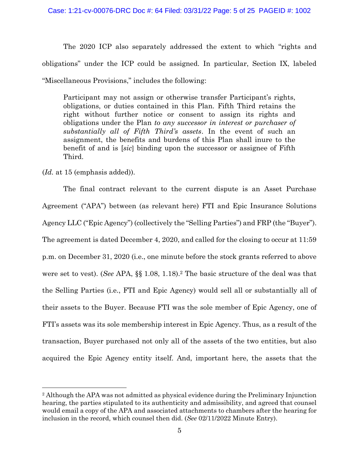The 2020 ICP also separately addressed the extent to which "rights and obligations" under the ICP could be assigned. In particular, Section IX, labeled "Miscellaneous Provisions," includes the following:

Participant may not assign or otherwise transfer Participant's rights, obligations, or duties contained in this Plan. Fifth Third retains the right without further notice or consent to assign its rights and obligations under the Plan *to any successor in interest or purchaser of substantially all of Fifth Third's assets*. In the event of such an assignment, the benefits and burdens of this Plan shall inure to the benefit of and is [*sic*] binding upon the successor or assignee of Fifth Third.

(*Id.* at 15 (emphasis added)).

The final contract relevant to the current dispute is an Asset Purchase Agreement ("APA") between (as relevant here) FTI and Epic Insurance Solutions Agency LLC ("Epic Agency") (collectively the "Selling Parties") and FRP (the "Buyer"). The agreement is dated December 4, 2020, and called for the closing to occur at 11:59 p.m. on December 31, 2020 (i.e., one minute before the stock grants referred to above were set to vest). (*See* APA, §§ 1.08, 1.18).<sup>2</sup> The basic structure of the deal was that the Selling Parties (i.e., FTI and Epic Agency) would sell all or substantially all of their assets to the Buyer. Because FTI was the sole member of Epic Agency, one of FTI's assets was its sole membership interest in Epic Agency. Thus, as a result of the transaction, Buyer purchased not only all of the assets of the two entities, but also acquired the Epic Agency entity itself. And, important here, the assets that the

<sup>2</sup> Although the APA was not admitted as physical evidence during the Preliminary Injunction hearing, the parties stipulated to its authenticity and admissibility, and agreed that counsel would email a copy of the APA and associated attachments to chambers after the hearing for inclusion in the record, which counsel then did. (*See* 02/11/2022 Minute Entry).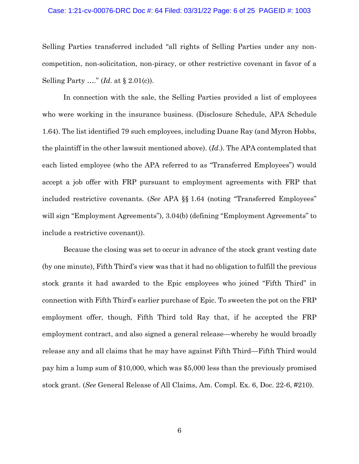#### Case: 1:21-cv-00076-DRC Doc #: 64 Filed: 03/31/22 Page: 6 of 25 PAGEID #: 1003

Selling Parties transferred included "all rights of Selling Parties under any noncompetition, non-solicitation, non-piracy, or other restrictive covenant in favor of a Selling Party …." (*Id.* at § 2.01(c)).

In connection with the sale, the Selling Parties provided a list of employees who were working in the insurance business. (Disclosure Schedule, APA Schedule 1.64). The list identified 79 such employees, including Duane Ray (and Myron Hobbs, the plaintiff in the other lawsuit mentioned above). (*Id.*). The APA contemplated that each listed employee (who the APA referred to as "Transferred Employees") would accept a job offer with FRP pursuant to employment agreements with FRP that included restrictive covenants. (*See* APA §§ 1.64 (noting "Transferred Employees" will sign "Employment Agreements"), 3.04(b) (defining "Employment Agreements" to include a restrictive covenant)).

Because the closing was set to occur in advance of the stock grant vesting date (by one minute), Fifth Third's view was that it had no obligation to fulfill the previous stock grants it had awarded to the Epic employees who joined "Fifth Third" in connection with Fifth Third's earlier purchase of Epic. To sweeten the pot on the FRP employment offer, though, Fifth Third told Ray that, if he accepted the FRP employment contract, and also signed a general release—whereby he would broadly release any and all claims that he may have against Fifth Third—Fifth Third would pay him a lump sum of \$10,000, which was \$5,000 less than the previously promised stock grant. (*See* General Release of All Claims, Am. Compl. Ex. 6, Doc. 22-6, #210).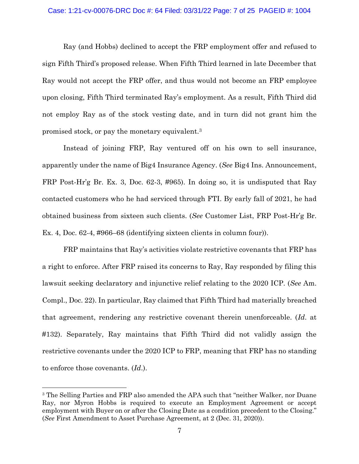### Case: 1:21-cv-00076-DRC Doc #: 64 Filed: 03/31/22 Page: 7 of 25 PAGEID #: 1004

Ray (and Hobbs) declined to accept the FRP employment offer and refused to sign Fifth Third's proposed release. When Fifth Third learned in late December that Ray would not accept the FRP offer, and thus would not become an FRP employee upon closing, Fifth Third terminated Ray's employment. As a result, Fifth Third did not employ Ray as of the stock vesting date, and in turn did not grant him the promised stock, or pay the monetary equivalent.<sup>3</sup>

Instead of joining FRP, Ray ventured off on his own to sell insurance, apparently under the name of Big4 Insurance Agency. (*See* Big4 Ins. Announcement, FRP Post-Hr'g Br. Ex. 3, Doc. 62-3, #965). In doing so, it is undisputed that Ray contacted customers who he had serviced through FTI. By early fall of 2021, he had obtained business from sixteen such clients. (*See* Customer List, FRP Post-Hr'g Br. Ex. 4, Doc. 62-4, #966–68 (identifying sixteen clients in column four)).

FRP maintains that Ray's activities violate restrictive covenants that FRP has a right to enforce. After FRP raised its concerns to Ray, Ray responded by filing this lawsuit seeking declaratory and injunctive relief relating to the 2020 ICP. (*See* Am. Compl., Doc. 22). In particular, Ray claimed that Fifth Third had materially breached that agreement, rendering any restrictive covenant therein unenforceable. (*Id*. at #132). Separately, Ray maintains that Fifth Third did not validly assign the restrictive covenants under the 2020 ICP to FRP, meaning that FRP has no standing to enforce those covenants. (*Id*.).

<sup>&</sup>lt;sup>3</sup> The Selling Parties and FRP also amended the APA such that "neither Walker, nor Duane Ray, nor Myron Hobbs is required to execute an Employment Agreement or accept employment with Buyer on or after the Closing Date as a condition precedent to the Closing." (*See* First Amendment to Asset Purchase Agreement, at 2 (Dec. 31, 2020)).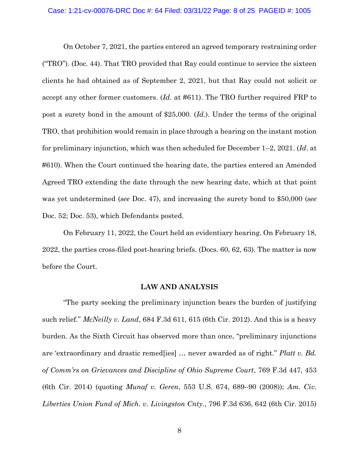#### Case: 1:21-cv-00076-DRC Doc #: 64 Filed: 03/31/22 Page: 8 of 25 PAGEID #: 1005

On October 7, 2021, the parties entered an agreed temporary restraining order ("TRO"). (Doc. 44). That TRO provided that Ray could continue to service the sixteen clients he had obtained as of September 2, 2021, but that Ray could not solicit or accept any other former customers. (*Id*. at #611). The TRO further required FRP to post a surety bond in the amount of \$25,000. (*Id.*). Under the terms of the original TRO, that prohibition would remain in place through a hearing on the instant motion for preliminary injunction, which was then scheduled for December 1–2, 2021. (*Id*. at #610). When the Court continued the hearing date, the parties entered an Amended Agreed TRO extending the date through the new hearing date, which at that point was yet undetermined (*see* Doc. 47), and increasing the surety bond to \$50,000 (*see*  Doc. 52; Doc. 53), which Defendants posted.

On February 11, 2022, the Court held an evidentiary hearing. On February 18, 2022, the parties cross-filed post-hearing briefs. (Docs. 60, 62, 63). The matter is now before the Court.

# **LAW AND ANALYSIS**

"The party seeking the preliminary injunction bears the burden of justifying such relief." *McNeilly v. Land*, 684 F.3d 611, 615 (6th Cir. 2012). And this is a heavy burden. As the Sixth Circuit has observed more than once, "preliminary injunctions are 'extraordinary and drastic remed[ies] … never awarded as of right." *Platt v. Bd. of Comm'rs on Grievances and Discipline of Ohio Supreme Court*, 769 F.3d 447, 453 (6th Cir. 2014) (quoting *Munaf v. Geren*, 553 U.S. 674, 689–90 (2008)); *Am. Civ. Liberties Union Fund of Mich. v. Livingston Cnty.*, 796 F.3d 636, 642 (6th Cir. 2015)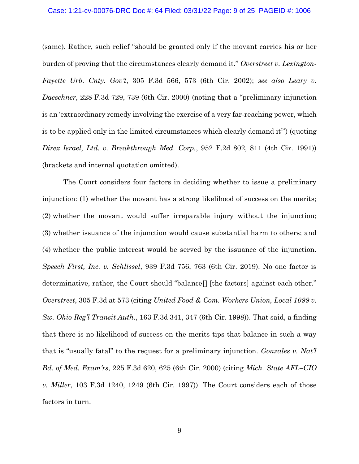#### Case: 1:21-cv-00076-DRC Doc #: 64 Filed: 03/31/22 Page: 9 of 25 PAGEID #: 1006

(same). Rather, such relief "should be granted only if the movant carries his or her burden of proving that the circumstances clearly demand it." *Overstreet v. Lexington-Fayette Urb. Cnty. Gov't*, 305 F.3d 566, 573 (6th Cir. 2002); *see also Leary v. Daeschner*, 228 F.3d 729, 739 (6th Cir. 2000) (noting that a "preliminary injunction is an 'extraordinary remedy involving the exercise of a very far-reaching power, which is to be applied only in the limited circumstances which clearly demand it'") (quoting *Direx Israel, Ltd. v. Breakthrough Med. Corp.*, 952 F.2d 802, 811 (4th Cir. 1991)) (brackets and internal quotation omitted).

The Court considers four factors in deciding whether to issue a preliminary injunction: (1) whether the movant has a strong likelihood of success on the merits; (2) whether the movant would suffer irreparable injury without the injunction; (3) whether issuance of the injunction would cause substantial harm to others; and (4) whether the public interest would be served by the issuance of the injunction. *Speech First, Inc. v. Schlissel*, 939 F.3d 756, 763 (6th Cir. 2019). No one factor is determinative, rather, the Court should "balance<sup>[]</sup> [the factors] against each other." *Overstreet*, 305 F.3d at 573 (citing *United Food & Com. Workers Union, Local 1099 v. Sw. Ohio Reg'l Transit Auth.*, 163 F.3d 341, 347 (6th Cir. 1998)). That said, a finding that there is no likelihood of success on the merits tips that balance in such a way that is "usually fatal" to the request for a preliminary injunction. *Gonzales v. Nat'l Bd. of Med. Exam'rs*, 225 F.3d 620, 625 (6th Cir. 2000) (citing *Mich. State AFL–CIO v. Miller*, 103 F.3d 1240, 1249 (6th Cir. 1997)). The Court considers each of those factors in turn.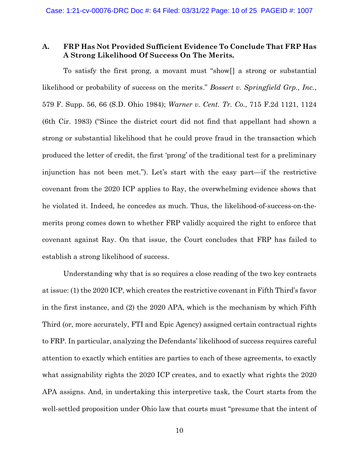# **A. FRP Has Not Provided Sufficient Evidence To Conclude That FRP Has A Strong Likelihood Of Success On The Merits.**

To satisfy the first prong, a movant must "show[] a strong or substantial likelihood or probability of success on the merits." *Bossert v. Springfield Grp., Inc.*, 579 F. Supp. 56, 66 (S.D. Ohio 1984); *Warner v. Cent. Tr. Co.*, 715 F.2d 1121, 1124 (6th Cir. 1983) ("Since the district court did not find that appellant had shown a strong or substantial likelihood that he could prove fraud in the transaction which produced the letter of credit, the first 'prong' of the traditional test for a preliminary injunction has not been met."). Let's start with the easy part—if the restrictive covenant from the 2020 ICP applies to Ray, the overwhelming evidence shows that he violated it. Indeed, he concedes as much. Thus, the likelihood-of-success-on-themerits prong comes down to whether FRP validly acquired the right to enforce that covenant against Ray. On that issue, the Court concludes that FRP has failed to establish a strong likelihood of success.

Understanding why that is so requires a close reading of the two key contracts at issue: (1) the 2020 ICP, which creates the restrictive covenant in Fifth Third's favor in the first instance, and (2) the 2020 APA, which is the mechanism by which Fifth Third (or, more accurately, FTI and Epic Agency) assigned certain contractual rights to FRP. In particular, analyzing the Defendants' likelihood of success requires careful attention to exactly which entities are parties to each of these agreements, to exactly what assignability rights the 2020 ICP creates, and to exactly what rights the 2020 APA assigns. And, in undertaking this interpretive task, the Court starts from the well-settled proposition under Ohio law that courts must "presume that the intent of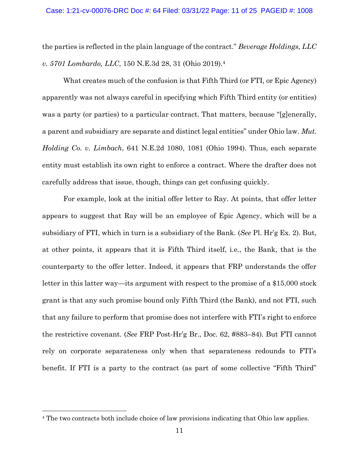the parties is reflected in the plain language of the contract." *Beverage Holdings, LLC v. 5701 Lombardo, LLC*, 150 N.E.3d 28, 31 (Ohio 2019).<sup>4</sup>

What creates much of the confusion is that Fifth Third (or FTI, or Epic Agency) apparently was not always careful in specifying which Fifth Third entity (or entities) was a party (or parties) to a particular contract. That matters, because "[g]enerally, a parent and subsidiary are separate and distinct legal entities" under Ohio law. *Mut. Holding Co. v. Limbach*, 641 N.E.2d 1080, 1081 (Ohio 1994). Thus, each separate entity must establish its own right to enforce a contract. Where the drafter does not carefully address that issue, though, things can get confusing quickly.

For example, look at the initial offer letter to Ray. At points, that offer letter appears to suggest that Ray will be an employee of Epic Agency, which will be a subsidiary of FTI, which in turn is a subsidiary of the Bank. (*See* Pl. Hr'g Ex. 2). But, at other points, it appears that it is Fifth Third itself, i.e., the Bank, that is the counterparty to the offer letter. Indeed, it appears that FRP understands the offer letter in this latter way—its argument with respect to the promise of a \$15,000 stock grant is that any such promise bound only Fifth Third (the Bank), and not FTI, such that any failure to perform that promise does not interfere with FTI's right to enforce the restrictive covenant. (*See* FRP Post-Hr'g Br., Doc. 62, #883–84). But FTI cannot rely on corporate separateness only when that separateness redounds to FTI's benefit. If FTI is a party to the contract (as part of some collective "Fifth Third"

<sup>4</sup> The two contracts both include choice of law provisions indicating that Ohio law applies.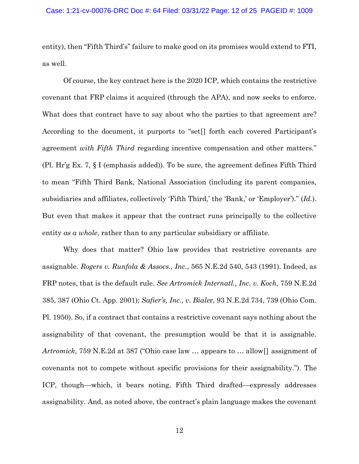entity), then "Fifth Third's" failure to make good on its promises would extend to FTI, as well.

Of course, the key contract here is the 2020 ICP, which contains the restrictive covenant that FRP claims it acquired (through the APA), and now seeks to enforce. What does that contract have to say about who the parties to that agreement are? According to the document, it purports to "set[] forth each covered Participant's agreement *with Fifth Third* regarding incentive compensation and other matters." (Pl. Hr'g Ex. 7, § I (emphasis added)). To be sure, the agreement defines Fifth Third to mean "Fifth Third Bank, National Association (including its parent companies, subsidiaries and affiliates, collectively 'Fifth Third,' the 'Bank,' or 'Employer')." (*Id.*). But even that makes it appear that the contract runs principally to the collective entity *as a whole*, rather than to any particular subsidiary or affiliate.

Why does that matter? Ohio law provides that restrictive covenants are assignable. *Rogers v. Runfola & Assocs., Inc.*, 565 N.E.2d 540, 543 (1991). Indeed, as FRP notes, that is the default rule. *See Artromick Internatl., Inc. v. Koch*, 759 N.E.2d 385, 387 (Ohio Ct. App. 2001); *Safier's, Inc., v. Biale*r, 93 N.E.2d 734, 739 (Ohio Com. Pl. 1950). So, if a contract that contains a restrictive covenant says nothing about the assignability of that covenant, the presumption would be that it is assignable. *Artromick*, 759 N.E.2d at 387 ("Ohio case law … appears to … allow[] assignment of covenants not to compete without specific provisions for their assignability."). The ICP, though—which, it bears noting, Fifth Third drafted—expressly addresses assignability. And, as noted above, the contract's plain language makes the covenant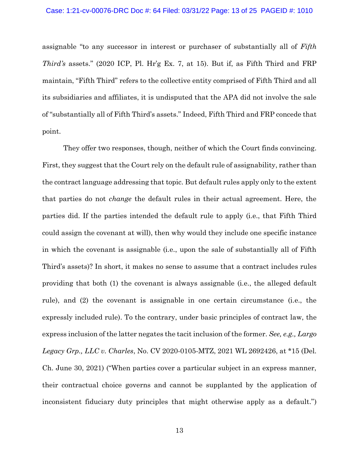#### Case: 1:21-cv-00076-DRC Doc #: 64 Filed: 03/31/22 Page: 13 of 25 PAGEID #: 1010

assignable "to any successor in interest or purchaser of substantially all of *Fifth Third's* assets." (2020 ICP, Pl. Hr'g Ex. 7, at 15). But if, as Fifth Third and FRP maintain, "Fifth Third" refers to the collective entity comprised of Fifth Third and all its subsidiaries and affiliates, it is undisputed that the APA did not involve the sale of "substantially all of Fifth Third's assets." Indeed, Fifth Third and FRP concede that point.

They offer two responses, though, neither of which the Court finds convincing. First, they suggest that the Court rely on the default rule of assignability, rather than the contract language addressing that topic. But default rules apply only to the extent that parties do not *change* the default rules in their actual agreement. Here, the parties did. If the parties intended the default rule to apply (i.e., that Fifth Third could assign the covenant at will), then why would they include one specific instance in which the covenant is assignable (i.e., upon the sale of substantially all of Fifth Third's assets)? In short, it makes no sense to assume that a contract includes rules providing that both (1) the covenant is always assignable (i.e., the alleged default rule), and (2) the covenant is assignable in one certain circumstance (i.e., the expressly included rule). To the contrary, under basic principles of contract law, the express inclusion of the latter negates the tacit inclusion of the former. *See, e.g., Largo Legacy Grp., LLC v. Charles*, No. CV 2020-0105-MTZ, 2021 WL 2692426, at \*15 (Del. Ch. June 30, 2021) ("When parties cover a particular subject in an express manner, their contractual choice governs and cannot be supplanted by the application of inconsistent fiduciary duty principles that might otherwise apply as a default.")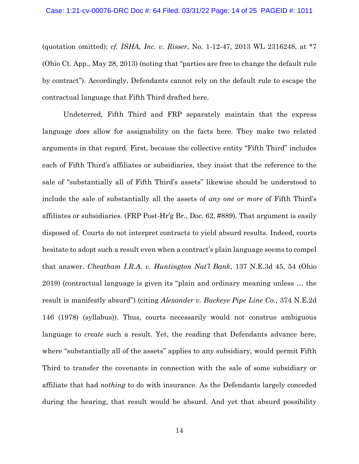(quotation omitted); *cf. ISHA, Inc. v. Risser*, No. 1-12-47, 2013 WL 2316248, at \*7 (Ohio Ct. App., May 28, 2013) (noting that "parties are free to change the default rule by contract"). Accordingly, Defendants cannot rely on the default rule to escape the contractual language that Fifth Third drafted here.

Undeterred, Fifth Third and FRP separately maintain that the express language *does* allow for assignability on the facts here. They make two related arguments in that regard. First, because the collective entity "Fifth Third" includes each of Fifth Third's affiliates or subsidiaries, they insist that the reference to the sale of "substantially all of Fifth Third's assets" likewise should be understood to include the sale of substantially all the assets of *any one or more* of Fifth Third's affiliates or subsidiaries. (FRP Post-Hr'g Br., Doc. 62, #889). That argument is easily disposed of. Courts do not interpret contracts to yield absurd results. Indeed, courts hesitate to adopt such a result even when a contract's plain language seems to compel that answer. *Cheatham I.R.A. v. Huntington Nat'l Bank*, 137 N.E.3d 45, 54 (Ohio 2019) (contractual language is given its "plain and ordinary meaning unless … the result is manifestly absurd") (citing *Alexander v. Buckeye Pipe Line Co.*, 374 N.E.2d 146 (1978) (syllabus)). Thus, courts necessarily would not construe ambiguous language to *create* such a result. Yet, the reading that Defendants advance here, where "substantially all of the assets" applies to any subsidiary, would permit Fifth Third to transfer the covenants in connection with the sale of some subsidiary or affiliate that had *nothing* to do with insurance. As the Defendants largely conceded during the hearing, that result would be absurd. And yet that absurd possibility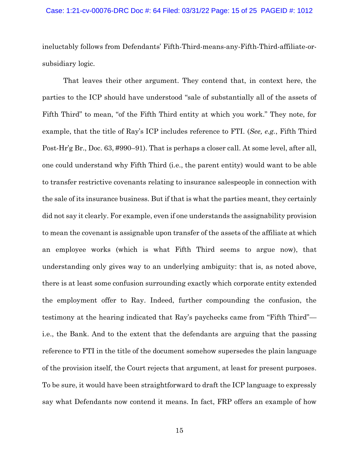#### Case: 1:21-cv-00076-DRC Doc #: 64 Filed: 03/31/22 Page: 15 of 25 PAGEID #: 1012

ineluctably follows from Defendants' Fifth-Third-means-any-Fifth-Third-affiliate-orsubsidiary logic.

That leaves their other argument. They contend that, in context here, the parties to the ICP should have understood "sale of substantially all of the assets of Fifth Third" to mean, "of the Fifth Third entity at which you work." They note, for example, that the title of Ray's ICP includes reference to FTI. (*See, e.g.*, Fifth Third Post-Hr'g Br., Doc. 63, #990–91). That is perhaps a closer call. At some level, after all, one could understand why Fifth Third (i.e., the parent entity) would want to be able to transfer restrictive covenants relating to insurance salespeople in connection with the sale of its insurance business. But if that is what the parties meant, they certainly did not say it clearly. For example, even if one understands the assignability provision to mean the covenant is assignable upon transfer of the assets of the affiliate at which an employee works (which is what Fifth Third seems to argue now), that understanding only gives way to an underlying ambiguity: that is, as noted above, there is at least some confusion surrounding exactly which corporate entity extended the employment offer to Ray. Indeed, further compounding the confusion, the testimony at the hearing indicated that Ray's paychecks came from "Fifth Third" i.e., the Bank. And to the extent that the defendants are arguing that the passing reference to FTI in the title of the document somehow supersedes the plain language of the provision itself, the Court rejects that argument, at least for present purposes. To be sure, it would have been straightforward to draft the ICP language to expressly say what Defendants now contend it means. In fact, FRP offers an example of how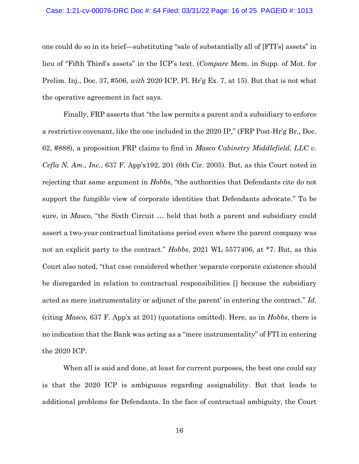#### Case: 1:21-cv-00076-DRC Doc #: 64 Filed: 03/31/22 Page: 16 of 25 PAGEID #: 1013

one could do so in its brief—substituting "sale of substantially all of [FTI's] assets" in lieu of "Fifth Third's assets" in the ICP's text. (*Compare* Mem. in Supp. of Mot. for Prelim. Inj., Doc. 37, #506, *with* 2020 ICP, Pl. Hr'g Ex. 7, at 15). But that is not what the operative agreement in fact says.

Finally, FRP asserts that "the law permits a parent and a subsidiary to enforce a restrictive covenant, like the one included in the 2020 IP," (FRP Post-Hr'g Br., Doc. 62, #888), a proposition FRP claims to find in *Masco Cabinetry Middlefield, LLC v. Cefla N. Am., Inc.*, 637 F. App'x192, 201 (6th Cir. 2005). But, as this Court noted in rejecting that same argument in *Hobbs*, "the authorities that Defendants cite do not support the fungible view of corporate identities that Defendants advocate." To be sure, in *Masco*, "the Sixth Circuit … held that both a parent and subsidiary could assert a two-year contractual limitations period even where the parent company was not an explicit party to the contract." *Hobbs*, 2021 WL 5577406, at \*7. But, as this Court also noted, "that case considered whether 'separate corporate existence should be disregarded in relation to contractual responsibilities [] because the subsidiary acted as mere instrumentality or adjunct of the parent' in entering the contract." *Id*. (citing *Masco*, 637 F. App'x at 201) (quotations omitted). Here, as in *Hobbs*, there is no indication that the Bank was acting as a "mere instrumentality" of FTI in entering the 2020 ICP.

When all is said and done, at least for current purposes, the best one could say is that the 2020 ICP is ambiguous regarding assignability. But that leads to additional problems for Defendants. In the face of contractual ambiguity, the Court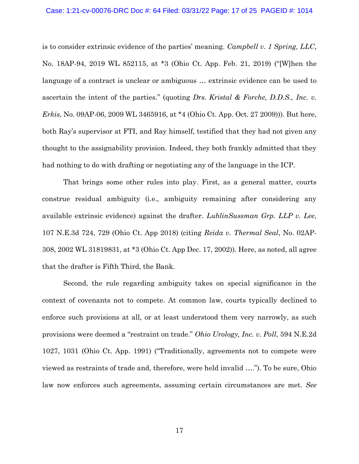### Case: 1:21-cv-00076-DRC Doc #: 64 Filed: 03/31/22 Page: 17 of 25 PAGEID #: 1014

is to consider extrinsic evidence of the parties' meaning. *Campbell v. 1 Spring, LLC*, No. 18AP-94, 2019 WL 852115, at \*3 (Ohio Ct. App. Feb. 21, 2019) ("[W]hen the language of a contract is unclear or ambiguous … extrinsic evidence can be used to ascertain the intent of the parties." (quoting *Drs. Kristal & Forche, D.D.S., Inc. v. Erkis*, No. 09AP-06, 2009 WL 3465916, at \*4 (Ohio Ct. App. Oct. 27 2009))). But here, both Ray's supervisor at FTI, and Ray himself, testified that they had not given any thought to the assignability provision. Indeed, they both frankly admitted that they had nothing to do with drafting or negotiating any of the language in the ICP.

That brings some other rules into play. First, as a general matter, courts construe residual ambiguity (i.e., ambiguity remaining after considering any available extrinsic evidence) against the drafter. *LublinSussman Grp. LLP v. Lee*, 107 N.E.3d 724, 729 (Ohio Ct. App 2018) (citing *Reida v. Thermal Seal*, No. 02AP-308, 2002 WL 31819831, at \*3 (Ohio Ct. App Dec. 17, 2002)). Here, as noted, all agree that the drafter is Fifth Third, the Bank.

Second, the rule regarding ambiguity takes on special significance in the context of covenants not to compete. At common law, courts typically declined to enforce such provisions at all, or at least understood them very narrowly, as such provisions were deemed a "restraint on trade." *Ohio Urology, Inc. v. Poll*, 594 N.E.2d 1027, 1031 (Ohio Ct. App. 1991) ("Traditionally, agreements not to compete were viewed as restraints of trade and, therefore, were held invalid …."). To be sure, Ohio law now enforces such agreements, assuming certain circumstances are met. *See*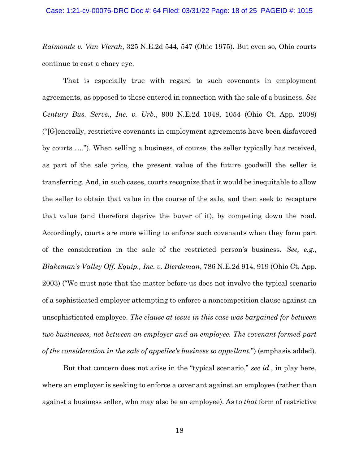*Raimonde v. Van Vlerah*, 325 N.E.2d 544, 547 (Ohio 1975). But even so, Ohio courts continue to cast a chary eye.

That is especially true with regard to such covenants in employment agreements, as opposed to those entered in connection with the sale of a business. *See Century Bus. Servs., Inc. v. Urb.*, 900 N.E.2d 1048, 1054 (Ohio Ct. App. 2008) ("[G]enerally, restrictive covenants in employment agreements have been disfavored by courts …."). When selling a business, of course, the seller typically has received, as part of the sale price, the present value of the future goodwill the seller is transferring. And, in such cases, courts recognize that it would be inequitable to allow the seller to obtain that value in the course of the sale, and then seek to recapture that value (and therefore deprive the buyer of it), by competing down the road. Accordingly, courts are more willing to enforce such covenants when they form part of the consideration in the sale of the restricted person's business. *See, e.g.*, *Blakeman's Valley Off. Equip., Inc. v. Bierdeman*, 786 N.E.2d 914, 919 (Ohio Ct. App. 2003) ("We must note that the matter before us does not involve the typical scenario of a sophisticated employer attempting to enforce a noncompetition clause against an unsophisticated employee. *The clause at issue in this case was bargained for between two businesses, not between an employer and an employee. The covenant formed part of the consideration in the sale of appellee's business to appellant.*") (emphasis added).

But that concern does not arise in the "typical scenario," *see id*., in play here, where an employer is seeking to enforce a covenant against an employee (rather than against a business seller, who may also be an employee). As to *that* form of restrictive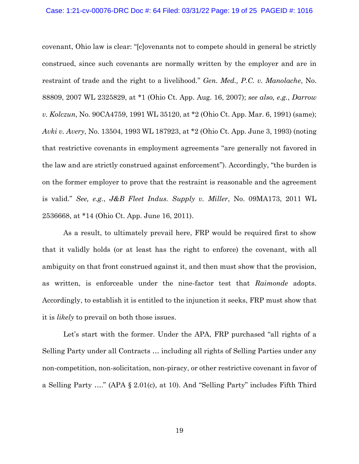#### Case: 1:21-cv-00076-DRC Doc #: 64 Filed: 03/31/22 Page: 19 of 25 PAGEID #: 1016

covenant, Ohio law is clear: "[c]ovenants not to compete should in general be strictly construed, since such covenants are normally written by the employer and are in restraint of trade and the right to a livelihood." *Gen. Med., P.C. v. Manolache*, No. 88809, 2007 WL 2325829, at \*1 (Ohio Ct. App. Aug. 16, 2007); *see also, e.g.*, *Darrow v. Kolczun*, No. 90CA4759, 1991 WL 35120, at \*2 (Ohio Ct. App. Mar. 6, 1991) (same); *Avki v. Avery*, No. 13504, 1993 WL 187923, at \*2 (Ohio Ct. App. June 3, 1993) (noting that restrictive covenants in employment agreements "are generally not favored in the law and are strictly construed against enforcement"). Accordingly, "the burden is on the former employer to prove that the restraint is reasonable and the agreement is valid." *See, e.g.*, *J&B Fleet Indus. Supply v. Miller*, No. 09MA173, 2011 WL 2536668, at \*14 (Ohio Ct. App. June 16, 2011).

As a result, to ultimately prevail here, FRP would be required first to show that it validly holds (or at least has the right to enforce) the covenant, with all ambiguity on that front construed against it, and then must show that the provision, as written, is enforceable under the nine-factor test that *Raimonde* adopts. Accordingly, to establish it is entitled to the injunction it seeks, FRP must show that it is *likely* to prevail on both those issues.

Let's start with the former. Under the APA, FRP purchased "all rights of a Selling Party under all Contracts … including all rights of Selling Parties under any non-competition, non-solicitation, non-piracy, or other restrictive covenant in favor of a Selling Party …." (APA § 2.01(c), at 10). And "Selling Party" includes Fifth Third

19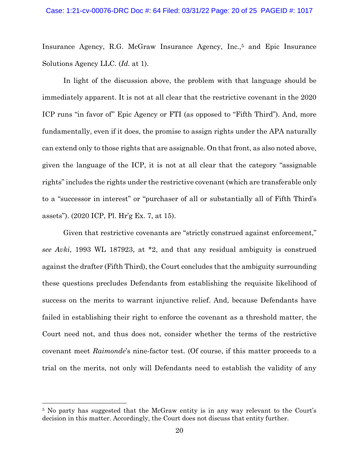Insurance Agency, R.G. McGraw Insurance Agency, Inc.,<sup>5</sup> and Epic Insurance Solutions Agency LLC. (*Id.* at 1).

In light of the discussion above, the problem with that language should be immediately apparent. It is not at all clear that the restrictive covenant in the 2020 ICP runs "in favor of" Epic Agency or FTI (as opposed to "Fifth Third"). And, more fundamentally, even if it does, the promise to assign rights under the APA naturally can extend only to those rights that are assignable. On that front, as also noted above, given the language of the ICP, it is not at all clear that the category "assignable rights" includes the rights under the restrictive covenant (which are transferable only to a "successor in interest" or "purchaser of all or substantially all of Fifth Third's assets"). (2020 ICP, Pl. Hr'g Ex. 7, at 15).

Given that restrictive covenants are "strictly construed against enforcement," *see Avki*, 1993 WL 187923, at \*2, and that any residual ambiguity is construed against the drafter (Fifth Third), the Court concludes that the ambiguity surrounding these questions precludes Defendants from establishing the requisite likelihood of success on the merits to warrant injunctive relief. And, because Defendants have failed in establishing their right to enforce the covenant as a threshold matter, the Court need not, and thus does not, consider whether the terms of the restrictive covenant meet *Raimonde*'s nine-factor test. (Of course, if this matter proceeds to a trial on the merits, not only will Defendants need to establish the validity of any

<sup>5</sup> No party has suggested that the McGraw entity is in any way relevant to the Court's decision in this matter. Accordingly, the Court does not discuss that entity further.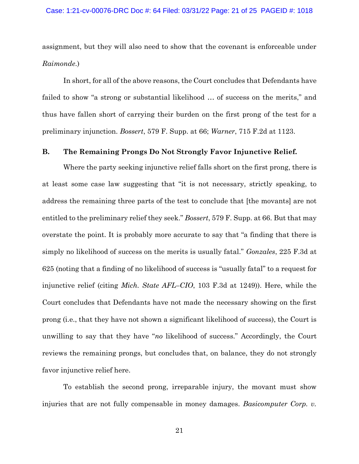assignment, but they will also need to show that the covenant is enforceable under *Raimonde*.)

In short, for all of the above reasons, the Court concludes that Defendants have failed to show "a strong or substantial likelihood … of success on the merits," and thus have fallen short of carrying their burden on the first prong of the test for a preliminary injunction. *Bossert*, 579 F. Supp. at 66; *Warner*, 715 F.2d at 1123.

# **B. The Remaining Prongs Do Not Strongly Favor Injunctive Relief.**

Where the party seeking injunctive relief falls short on the first prong, there is at least some case law suggesting that "it is not necessary, strictly speaking, to address the remaining three parts of the test to conclude that [the movants] are not entitled to the preliminary relief they seek." *Bossert*, 579 F. Supp. at 66. But that may overstate the point. It is probably more accurate to say that "a finding that there is simply no likelihood of success on the merits is usually fatal." *Gonzales*, 225 F.3d at 625 (noting that a finding of no likelihood of success is "usually fatal" to a request for injunctive relief (citing *Mich. State AFL–CIO*, 103 F.3d at 1249)). Here, while the Court concludes that Defendants have not made the necessary showing on the first prong (i.e., that they have not shown a significant likelihood of success), the Court is unwilling to say that they have "*no* likelihood of success." Accordingly, the Court reviews the remaining prongs, but concludes that, on balance, they do not strongly favor injunctive relief here.

To establish the second prong, irreparable injury, the movant must show injuries that are not fully compensable in money damages. *Basicomputer Corp. v.*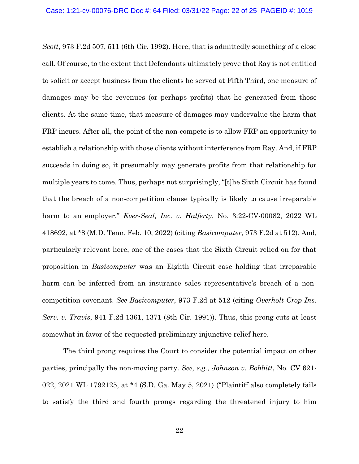*Scott*, 973 F.2d 507, 511 (6th Cir. 1992). Here, that is admittedly something of a close call. Of course, to the extent that Defendants ultimately prove that Ray is not entitled to solicit or accept business from the clients he served at Fifth Third, one measure of damages may be the revenues (or perhaps profits) that he generated from those clients. At the same time, that measure of damages may undervalue the harm that FRP incurs. After all, the point of the non-compete is to allow FRP an opportunity to establish a relationship with those clients without interference from Ray. And, if FRP succeeds in doing so, it presumably may generate profits from that relationship for multiple years to come. Thus, perhaps not surprisingly, "[t]he Sixth Circuit has found that the breach of a non-competition clause typically is likely to cause irreparable harm to an employer." *Ever-Seal, Inc. v. Halferty*, No. 3:22-CV-00082, 2022 WL 418692, at \*8 (M.D. Tenn. Feb. 10, 2022) (citing *Basicomputer*, 973 F.2d at 512). And, particularly relevant here, one of the cases that the Sixth Circuit relied on for that proposition in *Basicomputer* was an Eighth Circuit case holding that irreparable harm can be inferred from an insurance sales representative's breach of a noncompetition covenant. *See Basicomputer*, 973 F.2d at 512 (citing *Overholt Crop Ins. Serv. v. Travis*, 941 F.2d 1361, 1371 (8th Cir. 1991)). Thus, this prong cuts at least somewhat in favor of the requested preliminary injunctive relief here.

The third prong requires the Court to consider the potential impact on other parties, principally the non-moving party. *See, e.g.*, *Johnson v. Bobbitt*, No. CV 621- 022, 2021 WL 1792125, at \*4 (S.D. Ga. May 5, 2021) ("Plaintiff also completely fails to satisfy the third and fourth prongs regarding the threatened injury to him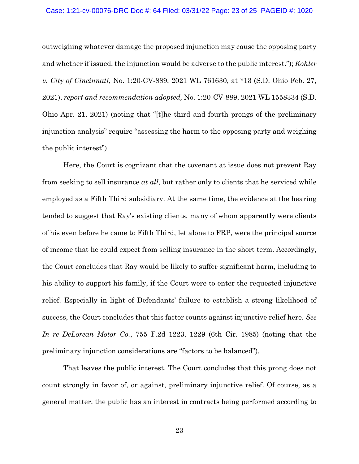### Case: 1:21-cv-00076-DRC Doc #: 64 Filed: 03/31/22 Page: 23 of 25 PAGEID #: 1020

outweighing whatever damage the proposed injunction may cause the opposing party and whether if issued, the injunction would be adverse to the public interest."); *Kohler v. City of Cincinnati*, No. 1:20-CV-889, 2021 WL 761630, at \*13 (S.D. Ohio Feb. 27, 2021), *report and recommendation adopted,* No. 1:20-CV-889, 2021 WL 1558334 (S.D. Ohio Apr. 21, 2021) (noting that "[t]he third and fourth prongs of the preliminary injunction analysis" require "assessing the harm to the opposing party and weighing the public interest").

Here, the Court is cognizant that the covenant at issue does not prevent Ray from seeking to sell insurance *at all*, but rather only to clients that he serviced while employed as a Fifth Third subsidiary. At the same time, the evidence at the hearing tended to suggest that Ray's existing clients, many of whom apparently were clients of his even before he came to Fifth Third, let alone to FRP, were the principal source of income that he could expect from selling insurance in the short term. Accordingly, the Court concludes that Ray would be likely to suffer significant harm, including to his ability to support his family, if the Court were to enter the requested injunctive relief. Especially in light of Defendants' failure to establish a strong likelihood of success, the Court concludes that this factor counts against injunctive relief here. *See In re DeLorean Motor Co.*, 755 F.2d 1223, 1229 (6th Cir. 1985) (noting that the preliminary injunction considerations are "factors to be balanced").

That leaves the public interest. The Court concludes that this prong does not count strongly in favor of, or against, preliminary injunctive relief. Of course, as a general matter, the public has an interest in contracts being performed according to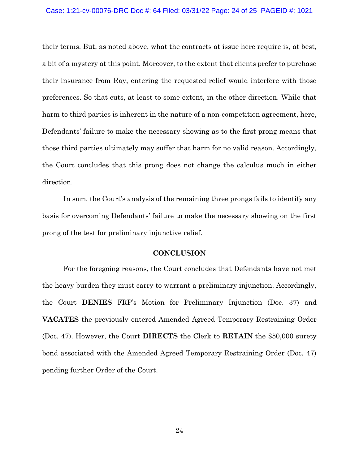### Case: 1:21-cv-00076-DRC Doc #: 64 Filed: 03/31/22 Page: 24 of 25 PAGEID #: 1021

their terms. But, as noted above, what the contracts at issue here require is, at best, a bit of a mystery at this point. Moreover, to the extent that clients prefer to purchase their insurance from Ray, entering the requested relief would interfere with those preferences. So that cuts, at least to some extent, in the other direction. While that harm to third parties is inherent in the nature of a non-competition agreement, here, Defendants' failure to make the necessary showing as to the first prong means that those third parties ultimately may suffer that harm for no valid reason. Accordingly, the Court concludes that this prong does not change the calculus much in either direction.

In sum, the Court's analysis of the remaining three prongs fails to identify any basis for overcoming Defendants' failure to make the necessary showing on the first prong of the test for preliminary injunctive relief.

### **CONCLUSION**

For the foregoing reasons, the Court concludes that Defendants have not met the heavy burden they must carry to warrant a preliminary injunction. Accordingly, the Court **DENIES** FRP's Motion for Preliminary Injunction (Doc. 37) and **VACATES** the previously entered Amended Agreed Temporary Restraining Order (Doc. 47). However, the Court **DIRECTS** the Clerk to **RETAIN** the \$50,000 surety bond associated with the Amended Agreed Temporary Restraining Order (Doc. 47) pending further Order of the Court.